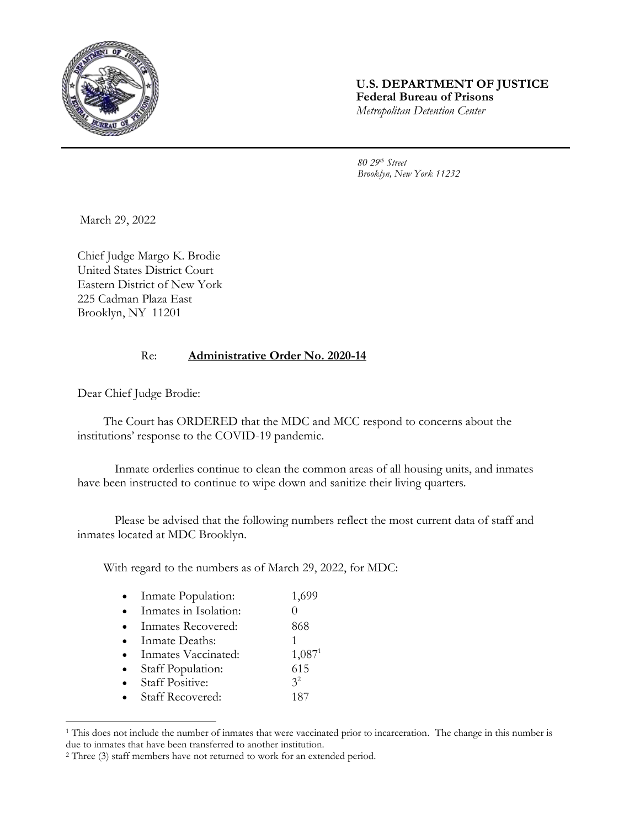

## **U.S. DEPARTMENT OF JUSTICE Federal Bureau of Prisons** *Metropolitan Detention Center*

*80 29th Street Brooklyn, New York 11232*

March 29, 2022

Chief Judge Margo K. Brodie United States District Court Eastern District of New York 225 Cadman Plaza East Brooklyn, NY 11201

## Re: **Administrative Order No. 2020-14**

Dear Chief Judge Brodie:

l

The Court has ORDERED that the MDC and MCC respond to concerns about the institutions' response to the COVID-19 pandemic.

Inmate orderlies continue to clean the common areas of all housing units, and inmates have been instructed to continue to wipe down and sanitize their living quarters.

Please be advised that the following numbers reflect the most current data of staff and inmates located at MDC Brooklyn.

With regard to the numbers as of March 29, 2022, for MDC:

| Inmate Population:      | 1,699                |
|-------------------------|----------------------|
| Inmates in Isolation:   |                      |
| Inmates Recovered:      | 868                  |
| Inmate Deaths:          |                      |
| Inmates Vaccinated:     | $1,087$ <sup>1</sup> |
| Staff Population:       | 615                  |
| <b>Staff Positive:</b>  | 3 <sup>2</sup>       |
| <b>Staff Recovered:</b> | 187                  |
|                         |                      |

<sup>&</sup>lt;sup>1</sup> This does not include the number of inmates that were vaccinated prior to incarceration. The change in this number is due to inmates that have been transferred to another institution.

<sup>2</sup> Three (3) staff members have not returned to work for an extended period.